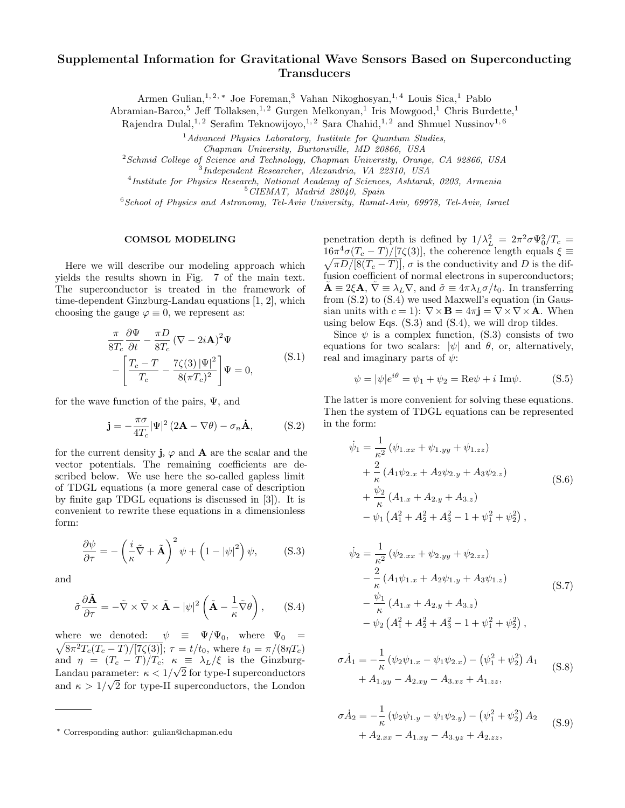## Supplemental Information for Gravitational Wave Sensors Based on Superconducting **Transducers**

Armen Gulian,1, 2, <sup>∗</sup> Joe Foreman,<sup>3</sup> Vahan Nikoghosyan,1, 4 Louis Sica,<sup>1</sup> Pablo

Abramian-Barco,<sup>5</sup> Jeff Tollaksen,<sup>1,2</sup> Gurgen Melkonyan,<sup>1</sup> Iris Mowgood,<sup>1</sup> Chris Burdette,<sup>1</sup>

Rajendra Dulal,<sup>1,2</sup> Serafim Teknowijoyo,<sup>1,2</sup> Sara Chahid,<sup>1,2</sup> and Shmuel Nussinov<sup>1,6</sup>

 $<sup>1</sup> Advanced Physics Laboratory, Institute for Quantum Studies,$ </sup>

Chapman University, Burtonsville, MD 20866, USA

 $2$ Schmid College of Science and Technology, Chapman University, Orange, CA 92866, USA

3 Independent Researcher, Alexandria, VA 22310, USA

4 Institute for Physics Research, National Academy of Sciences, Ashtarak, 0203, Armenia

 $5$  CIEMAT, Madrid 28040, Spain

<sup>6</sup> School of Physics and Astronomy, Tel-Aviv University, Ramat-Aviv, 69978, Tel-Aviv, Israel

## COMSOL MODELING

Here we will describe our modeling approach which yields the results shown in Fig. 7 of the main text. The superconductor is treated in the framework of time-dependent Ginzburg-Landau equations [1, 2], which choosing the gauge  $\varphi \equiv 0$ , we represent as:

$$
\frac{\pi}{8T_c} \frac{\partial \Psi}{\partial t} - \frac{\pi D}{8T_c} (\nabla - 2i\mathbf{A})^2 \Psi
$$

$$
-\left[\frac{T_c - T}{T_c} - \frac{7\zeta(3)|\Psi|^2}{8(\pi T_c)^2}\right] \Psi = 0,
$$
\n(S.1)

for the wave function of the pairs,  $\Psi$ , and

$$
\mathbf{j} = -\frac{\pi\sigma}{4T_c} |\Psi|^2 (2\mathbf{A} - \nabla\theta) - \sigma_n \mathbf{\dot{A}},
$$
 (S.2)

for the current density **j**,  $\varphi$  and **A** are the scalar and the vector potentials. The remaining coefficients are described below. We use here the so-called gapless limit of TDGL equations (a more general case of description by finite gap TDGL equations is discussed in [3]). It is convenient to rewrite these equations in a dimensionless form:

$$
\frac{\partial \psi}{\partial \tau} = -\left(\frac{i}{\kappa}\tilde{\nabla} + \tilde{\mathbf{A}}\right)^2 \psi + \left(1 - |\psi|^2\right)\psi, \tag{S.3}
$$

and

$$
\tilde{\sigma} \frac{\partial \tilde{\mathbf{A}}}{\partial \tau} = -\tilde{\nabla} \times \tilde{\nabla} \times \tilde{\mathbf{A}} - |\psi|^2 \left( \tilde{\mathbf{A}} - \frac{1}{\kappa} \tilde{\nabla} \theta \right), \quad (S.4)
$$

where we denoted:  $\psi \equiv \Psi/\Psi_0$ , where  $\Psi_0 =$  $\sqrt{8\pi^2T_c(T_c-T)/[7\zeta(3)]}$ ;  $\tau = t/t_0$ , where  $t_0 = \pi/(8\eta T_c)$ and  $\eta = (T_c - T)/T_c$ ;  $\kappa = \lambda_L/\xi$  is the Ginzburg-Landau parameter:  $\kappa < 1/\sqrt{2}$  for type-I superconductors and  $\kappa > 1/\sqrt{2}$  for type-II superconductors, the London

penetration depth is defined by  $1/\lambda_L^2 = 2\pi^2 \sigma \Psi_0^2/T_c$  $16\pi^4$  $16\pi^4\sigma(T_c-T)/[7\zeta(3)]$ , the coherence length equals  $\xi \equiv \sqrt{\pi D/[8(T_c-T)]}$ ,  $\sigma$  is the conductivity and D is the diffusion coefficient of normal electrons in superconductors;  $\mathbf{A} \equiv 2\xi \mathbf{A}, \ \nabla \equiv \lambda_L \nabla$ , and  $\tilde{\sigma} \equiv 4\pi \lambda_L \sigma / t_0$ . In transferring from (S.2) to (S.4) we used Maxwell's equation (in Gaussian units with  $c = 1$ :  $\nabla \times \mathbf{B} = 4\pi \mathbf{j} = \nabla \times \nabla \times \mathbf{A}$ . When using below Eqs.  $(S.3)$  and  $(S.4)$ , we will drop tildes.

Since  $\psi$  is a complex function, (S.3) consists of two equations for two scalars:  $|\psi|$  and  $\theta$ , or, alternatively, real and imaginary parts of  $\psi$ :

$$
\psi = |\psi|e^{i\theta} = \psi_1 + \psi_2 = \text{Re}\psi + i \text{ Im}\psi. \tag{S.5}
$$

The latter is more convenient for solving these equations. Then the system of TDGL equations can be represented in the form:

$$
\begin{split} \dot{\psi}_1 &= \frac{1}{\kappa^2} \left( \psi_{1,xx} + \psi_{1,yy} + \psi_{1,zz} \right) \\ &+ \frac{2}{\kappa} \left( A_1 \psi_{2,x} + A_2 \psi_{2,y} + A_3 \psi_{2,z} \right) \\ &+ \frac{\psi_2}{\kappa} \left( A_{1,x} + A_{2,y} + A_{3,z} \right) \\ &- \psi_1 \left( A_1^2 + A_2^2 + A_3^2 - 1 + \psi_1^2 + \psi_2^2 \right), \end{split} \tag{S.6}
$$

$$
\begin{split} \dot{\psi}_2 &= \frac{1}{\kappa^2} \left( \psi_{2.xx} + \psi_{2.yy} + \psi_{2.zz} \right) \\ &- \frac{2}{\kappa} \left( A_1 \psi_{1.x} + A_2 \psi_{1.y} + A_3 \psi_{1.z} \right) \\ &- \frac{\psi_1}{\kappa} \left( A_{1.x} + A_{2.y} + A_{3.z} \right) \\ &- \psi_2 \left( A_1^2 + A_2^2 + A_3^2 - 1 + \psi_1^2 + \psi_2^2 \right), \end{split} \tag{S.7}
$$

$$
\sigma \dot{A}_1 = -\frac{1}{\kappa} \left( \psi_2 \psi_{1.x} - \psi_1 \psi_{2.x} \right) - \left( \psi_1^2 + \psi_2^2 \right) A_1
$$
  
+  $A_{1.yy} - A_{2.xy} - A_{3.xz} + A_{1.zz}$ , (S.8)

$$
\sigma \dot{A}_2 = -\frac{1}{\kappa} \left( \psi_2 \psi_{1,y} - \psi_1 \psi_{2,y} \right) - \left( \psi_1^2 + \psi_2^2 \right) A_2
$$
  
+  $A_{2,xx} - A_{1,xy} - A_{3,yz} + A_{2,zz}$ , (S.9)

<sup>∗</sup> Corresponding author: gulian@chapman.edu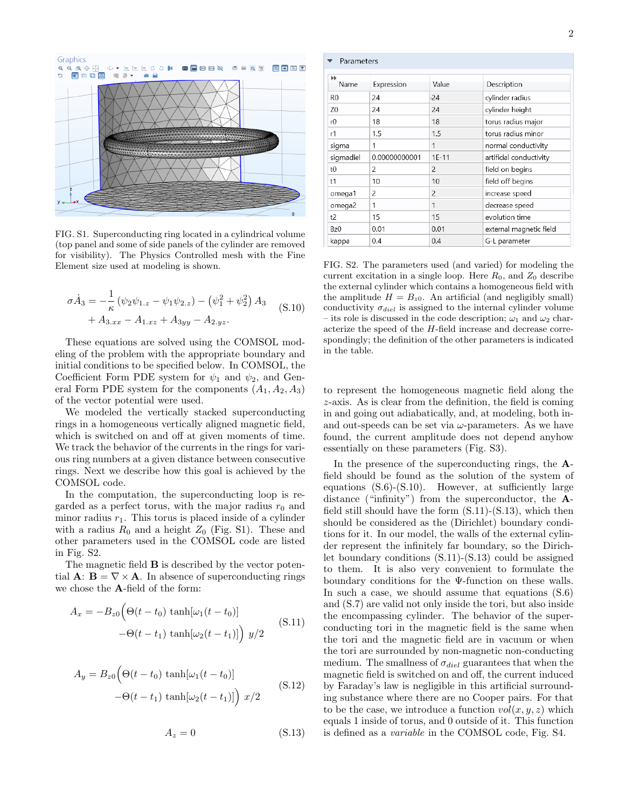

FIG. S1. Superconducting ring located in a cylindrical volume (top panel and some of side panels of the cylinder are removed for visibility). The Physics Controlled mesh with the Fine Element size used at modeling is shown.

$$
\sigma \dot{A}_3 = -\frac{1}{\kappa} \left( \psi_2 \psi_{1,z} - \psi_1 \psi_{2,z} \right) - \left( \psi_1^2 + \psi_2^2 \right) A_3
$$
  
+  $A_{3,xx} - A_{1,xz} + A_{3yy} - A_{2,yz}.$  (S.10)

These equations are solved using the COMSOL modeling of the problem with the appropriate boundary and initial conditions to be specified below. In COMSOL, the Coefficient Form PDE system for  $\psi_1$  and  $\psi_2$ , and General Form PDE system for the components  $(A_1, A_2, A_3)$ of the vector potential were used.

We modeled the vertically stacked superconducting rings in a homogeneous vertically aligned magnetic field, which is switched on and off at given moments of time. We track the behavior of the currents in the rings for various ring numbers at a given distance between consecutive rings. Next we describe how this goal is achieved by the COMSOL code.

In the computation, the superconducting loop is regarded as a perfect torus, with the major radius  $r_0$  and minor radius  $r_1$ . This torus is placed inside of a cylinder with a radius  $R_0$  and a height  $Z_0$  (Fig. S1). These and other parameters used in the COMSOL code are listed in Fig. S2.

The magnetic field **B** is described by the vector potential  $\mathbf{A}$ :  $\mathbf{B} = \nabla \times \mathbf{A}$ . In absence of superconducting rings we chose the A-field of the form:

$$
A_x = -B_{z0} \Big( \Theta(t - t_0) \tanh[\omega_1(t - t_0)]
$$
  
 
$$
- \Theta(t - t_1) \tanh[\omega_2(t - t_1)] \Big) y/2
$$
 (S.11)

$$
A_y = B_{z0} \Big( \Theta(t - t_0) \tanh[\omega_1(t - t_0)] -\Theta(t - t_1) \tanh[\omega_2(t - t_1)] \Big) x/2
$$
 (S.12)

$$
A_z = 0 \tag{S.13}
$$

| Parameters                                       |               |                |                         |  |  |  |  |  |  |
|--------------------------------------------------|---------------|----------------|-------------------------|--|--|--|--|--|--|
| $\blacktriangleright\blacktriangleright$<br>Name | Expression    | Value          | Description             |  |  |  |  |  |  |
| R <sub>0</sub>                                   | 24            | 24             | cylinder radius         |  |  |  |  |  |  |
| Z <sub>0</sub>                                   | 24            | 24             | cylinder height         |  |  |  |  |  |  |
| r0                                               | 18            | 18             | torus radius major      |  |  |  |  |  |  |
| r1                                               | 1.5           | 1.5            | torus radius minor      |  |  |  |  |  |  |
| sigma                                            | 1             | $\mathbf{1}$   | normal conductivity     |  |  |  |  |  |  |
| sigmadiel                                        | 0.00000000001 | $1E-11$        | artificial conductivity |  |  |  |  |  |  |
| t0                                               | 2             | $\overline{c}$ | field on begins         |  |  |  |  |  |  |
| t1                                               | 10            | 10             | field off begins        |  |  |  |  |  |  |
| omega1                                           | 2             | $\overline{c}$ | increase speed          |  |  |  |  |  |  |
| omega2                                           | 1             | $\mathbf{1}$   | decrease speed          |  |  |  |  |  |  |
| t2                                               | 15            | 15             | evolution time          |  |  |  |  |  |  |
| Bz <sub>0</sub>                                  | 0.01          | 0.01           | external magnetic field |  |  |  |  |  |  |
| kappa                                            | 0.4           | 0.4            | G-L parameter           |  |  |  |  |  |  |

FIG. S2. The parameters used (and varied) for modeling the current excitation in a single loop. Here  $R_0$ , and  $Z_0$  describe the external cylinder which contains a homogeneous field with the amplitude  $H = B_{z0}$ . An artificial (and negligibly small) conductivity  $\sigma_{diel}$  is assigned to the internal cylinder volume – its role is discussed in the code description;  $\omega_1$  and  $\omega_2$  characterize the speed of the H-field increase and decrease correspondingly; the definition of the other parameters is indicated in the table.

to represent the homogeneous magnetic field along the z-axis. As is clear from the definition, the field is coming in and going out adiabatically, and, at modeling, both inand out-speeds can be set via  $\omega$ -parameters. As we have found, the current amplitude does not depend anyhow essentially on these parameters (Fig. S3).

In the presence of the superconducting rings, the Afield should be found as the solution of the system of equations  $(S.6)-(S.10)$ . However, at sufficiently large distance ("infinity") from the superconductor, the Afield still should have the form  $(S.11)-(S.13)$ , which then should be considered as the (Dirichlet) boundary conditions for it. In our model, the walls of the external cylinder represent the infinitely far boundary, so the Dirichlet boundary conditions (S.11)-(S.13) could be assigned to them. It is also very convenient to formulate the boundary conditions for the Ψ-function on these walls. In such a case, we should assume that equations (S.6) and (S.7) are valid not only inside the tori, but also inside the encompassing cylinder. The behavior of the superconducting tori in the magnetic field is the same when the tori and the magnetic field are in vacuum or when the tori are surrounded by non-magnetic non-conducting medium. The smallness of  $\sigma_{diel}$  guarantees that when the magnetic field is switched on and off, the current induced by Faraday's law is negligible in this artificial surrounding substance where there are no Cooper pairs. For that to be the case, we introduce a function  $vol(x, y, z)$  which equals 1 inside of torus, and 0 outside of it. This function is defined as a variable in the COMSOL code, Fig. S4.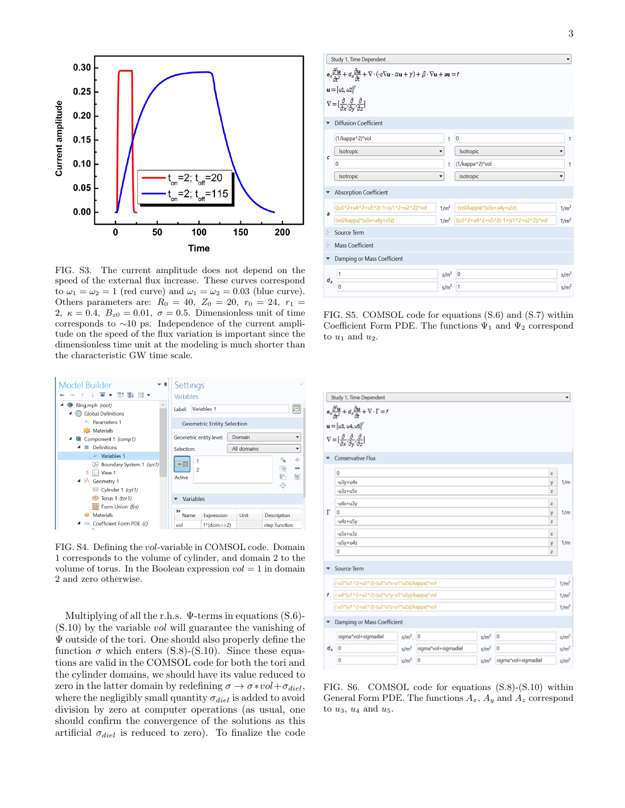

FIG. S3. The current amplitude does not depend on the speed of the external flux increase. These curves correspond to  $\omega_1 = \omega_2 = 1$  (red curve) and  $\omega_1 = \omega_2 = 0.03$  (blue curve). Others parameters are:  $R_0 = 40, Z_0 = 20, r_0 = 24, r_1 =$ 2,  $\kappa = 0.4$ ,  $B_{z0} = 0.01$ ,  $\sigma = 0.5$ . Dimensionless unit of time corresponds to ∼10 ps. Independence of the current amplitude on the speed of the flux variation is important since the dimensionless time unit at the modeling is much shorter than the characteristic GW time scale.



FIG. S4. Defining the vol-variable in COMSOL code. Domain 1 corresponds to the volume of cylinder, and domain 2 to the volume of torus. In the Boolean expression  $vol = 1$  in domain 2 and zero otherwise.

Multiplying of all the r.h.s.  $\Psi$ -terms in equations (S.6)- $(S.10)$  by the variable *vol* will guarantee the vanishing of Ψ outside of the tori. One should also properly define the function  $\sigma$  which enters (S.8)-(S.10). Since these equations are valid in the COMSOL code for both the tori and the cylinder domains, we should have its value reduced to zero in the latter domain by redefining  $\sigma \to \sigma * vol + \sigma_{diel}$ , where the negligibly small quantity  $\sigma_{diel}$  is added to avoid division by zero at computer operations (as usual, one should confirm the convergence of the solutions as this artificial  $\sigma_{diel}$  is reduced to zero). To finalize the code

|                                                                                                                                                                                                                                                    | Study 1, Time Dependent                                                                                       |                  |                                      | ۰                |  |  |  |  |  |
|----------------------------------------------------------------------------------------------------------------------------------------------------------------------------------------------------------------------------------------------------|---------------------------------------------------------------------------------------------------------------|------------------|--------------------------------------|------------------|--|--|--|--|--|
| $e_{\partial} \frac{\partial^2 \mathbf{u}}{\partial r^2} + d_{\partial} \frac{\partial \mathbf{u}}{\partial r} + \nabla \cdot (-c \nabla \mathbf{u} \cdot \alpha \mathbf{u} + \gamma) + \beta \cdot \nabla \mathbf{u} + \mathbf{a} \mathbf{u} = f$ |                                                                                                               |                  |                                      |                  |  |  |  |  |  |
| $\mathbf{u} = [u_1, u_2]^T$                                                                                                                                                                                                                        |                                                                                                               |                  |                                      |                  |  |  |  |  |  |
|                                                                                                                                                                                                                                                    | $\nabla = \left[\frac{\partial}{\partial x}, \frac{\partial}{\partial y}, \frac{\partial}{\partial z}\right]$ |                  |                                      |                  |  |  |  |  |  |
| <b>Diffusion Coefficient</b>                                                                                                                                                                                                                       |                                                                                                               |                  |                                      |                  |  |  |  |  |  |
|                                                                                                                                                                                                                                                    | (1/kappa^2)*vol                                                                                               | 1                | $\mathbf{0}$                         | 1                |  |  |  |  |  |
| c                                                                                                                                                                                                                                                  | Isotropic                                                                                                     |                  | Isotropic                            | ۰                |  |  |  |  |  |
|                                                                                                                                                                                                                                                    | $\bf{0}$                                                                                                      |                  | (1/kappa^2)*vol                      | 1                |  |  |  |  |  |
|                                                                                                                                                                                                                                                    | Isotropic                                                                                                     | ۰                | Isotropic                            | ۰                |  |  |  |  |  |
|                                                                                                                                                                                                                                                    | <b>Absorption Coefficient</b>                                                                                 |                  |                                      |                  |  |  |  |  |  |
| a                                                                                                                                                                                                                                                  | ((u3^2+u4^2+u5^2)-1+(u1^2+u2^2))*vol                                                                          | 1/m <sup>2</sup> | -(vol/kappa)*(u3x+u4y+u5z)           | 1/m <sup>2</sup> |  |  |  |  |  |
|                                                                                                                                                                                                                                                    | (vol/kappa)*(u3x+u4y+u5z)                                                                                     | 1/m <sup>2</sup> | ((u3^2+u4^2+u5^2)-1+(u1^2+u2^2))*vol | 1/m <sup>2</sup> |  |  |  |  |  |
| Source Term<br>D                                                                                                                                                                                                                                   |                                                                                                               |                  |                                      |                  |  |  |  |  |  |
| D                                                                                                                                                                                                                                                  | <b>Mass Coefficient</b>                                                                                       |                  |                                      |                  |  |  |  |  |  |
|                                                                                                                                                                                                                                                    | Damping or Mass Coefficient                                                                                   |                  |                                      |                  |  |  |  |  |  |
| $d_a$                                                                                                                                                                                                                                              | 1                                                                                                             | s/m <sup>2</sup> | $\vert$ 0                            | s/m <sup>2</sup> |  |  |  |  |  |
|                                                                                                                                                                                                                                                    | 0                                                                                                             | s/m <sup>2</sup> | 1                                    | s/m <sup>2</sup> |  |  |  |  |  |

FIG. S5. COMSOL code for equations (S.6) and (S.7) within Coefficient Form PDE. The functions  $\Psi_1$  and  $\Psi_2$  correspond to  $u_1$  and  $u_2$ .

| Study 1, Time Dependent<br>۰                                                                                                          |                                                                                                    |                  |                     |                  |                     |                  |  |  |  |
|---------------------------------------------------------------------------------------------------------------------------------------|----------------------------------------------------------------------------------------------------|------------------|---------------------|------------------|---------------------|------------------|--|--|--|
| $e_{\theta} \frac{\partial^2 \mathbf{u}}{\partial t^2} + d_{\theta} \frac{\partial \mathbf{u}}{\partial t} + \nabla \cdot \Gamma = f$ |                                                                                                    |                  |                     |                  |                     |                  |  |  |  |
|                                                                                                                                       | ${\bf u} = [\mu 3, \mu 4, \mu 5]^T$                                                                |                  |                     |                  |                     |                  |  |  |  |
|                                                                                                                                       | $\nabla = [\frac{\partial}{\partial x}, \frac{\partial}{\partial y}, \frac{\partial}{\partial z}]$ |                  |                     |                  |                     |                  |  |  |  |
|                                                                                                                                       |                                                                                                    |                  |                     |                  |                     |                  |  |  |  |
|                                                                                                                                       | Conservative Flux                                                                                  |                  |                     |                  |                     |                  |  |  |  |
|                                                                                                                                       | $\circ$                                                                                            |                  |                     |                  |                     | x                |  |  |  |
|                                                                                                                                       | $-u3y+u4x$                                                                                         |                  |                     |                  |                     | 1/m<br>y         |  |  |  |
|                                                                                                                                       | $-u3z+u5x$                                                                                         |                  | z                   |                  |                     |                  |  |  |  |
|                                                                                                                                       | $-u4x+u3y$                                                                                         |                  |                     |                  |                     |                  |  |  |  |
| Г                                                                                                                                     | 0                                                                                                  |                  |                     |                  |                     |                  |  |  |  |
|                                                                                                                                       | $-u4z+u5y$                                                                                         |                  |                     |                  |                     |                  |  |  |  |
|                                                                                                                                       | $-u5x+u3z$                                                                                         |                  | x                   |                  |                     |                  |  |  |  |
|                                                                                                                                       | -u5y+u4z                                                                                           |                  | 1/m<br>y            |                  |                     |                  |  |  |  |
|                                                                                                                                       | $\bf{0}$                                                                                           |                  |                     |                  |                     |                  |  |  |  |
|                                                                                                                                       | Source Term                                                                                        |                  |                     |                  |                     |                  |  |  |  |
|                                                                                                                                       | (-u3*(u1^2+u2^2)-(u2*u1x-u1*u2x)/kappa)*vol                                                        |                  |                     |                  |                     | 1/m <sup>2</sup> |  |  |  |
| f                                                                                                                                     | (-u4*(u1^2+u2^2)-(u2*u1y-u1*u2y)/kappa)*vol                                                        |                  |                     |                  |                     | 1/m <sup>2</sup> |  |  |  |
|                                                                                                                                       | (-u5*(u1^2+u2^2)-(u2*u1z-u1*u2z)/kappa)*vol                                                        |                  |                     |                  |                     | 1/m <sup>2</sup> |  |  |  |
| Damping or Mass Coefficient                                                                                                           |                                                                                                    |                  |                     |                  |                     |                  |  |  |  |
| $d_{\scriptscriptstyle B}$                                                                                                            | sigma*vol+sigmadiel                                                                                | s/m <sup>2</sup> | 0                   | s/m <sup>2</sup> | $\overline{0}$      | s/m <sup>2</sup> |  |  |  |
|                                                                                                                                       | 0                                                                                                  | s/m <sup>2</sup> | sigma*vol+sigmadiel | s/m <sup>2</sup> | $\overline{0}$      | s/m <sup>2</sup> |  |  |  |
|                                                                                                                                       | 0                                                                                                  | s/m <sup>2</sup> | $\circ$             | s/m <sup>2</sup> | sigma*vol+sigmadiel | s/m <sup>2</sup> |  |  |  |

FIG. S6. COMSOL code for equations (S.8)-(S.10) within General Form PDE. The functions  $A_x$ ,  $A_y$  and  $A_z$  correspond to  $u_3$ ,  $u_4$  and  $u_5$ .